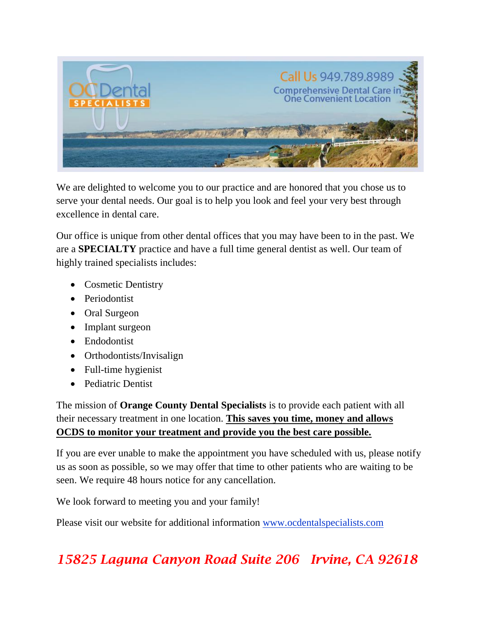

We are delighted to welcome you to our practice and are honored that you chose us to serve your dental needs. Our goal is to help you look and feel your very best through excellence in dental care.

Our office is unique from other dental offices that you may have been to in the past. We are a **SPECIALTY** practice and have a full time general dentist as well. Our team of highly trained specialists includes:

- Cosmetic Dentistry
- Periodontist
- Oral Surgeon
- Implant surgeon
- Endodontist
- Orthodontists/Invisalign
- Full-time hygienist
- Pediatric Dentist

The mission of **Orange County Dental Specialists** is to provide each patient with all their necessary treatment in one location. **This saves you time, money and allows OCDS to monitor your treatment and provide you the best care possible.**

If you are ever unable to make the appointment you have scheduled with us, please notify us as soon as possible, so we may offer that time to other patients who are waiting to be seen. We require 48 hours notice for any cancellation.

We look forward to meeting you and your family!

Please visit our website for additional information www.ocdentalspecialists.com

# *15825 Laguna Canyon Road Suite 206 Irvine, CA 92618*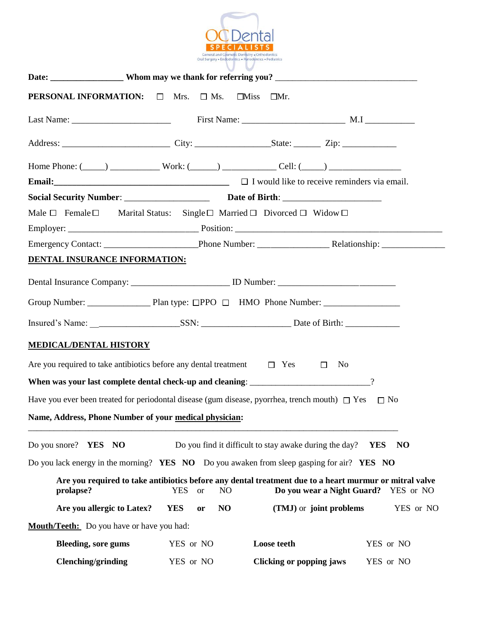

| <b>PERSONAL INFORMATION:</b> $\Box$ Mrs. $\Box$ Ms. $\Box$ Miss $\Box$ Mr.                                                                                                                                                           |                                           |                                                                           |                              |
|--------------------------------------------------------------------------------------------------------------------------------------------------------------------------------------------------------------------------------------|-------------------------------------------|---------------------------------------------------------------------------|------------------------------|
|                                                                                                                                                                                                                                      |                                           |                                                                           |                              |
|                                                                                                                                                                                                                                      |                                           |                                                                           |                              |
| Home Phone: $(\_\_\_\_)$ $\_\_\_\_\_\_\_\$ Work: $(\_\_\_\_)$ $\_\_\_\_\_\_\_\_$ Cell: $(\_\_\_\_)$ $\_\_\_\_\_\_\_\_\_\_\_\_\_\_$                                                                                                   |                                           |                                                                           |                              |
| <b>Email:</b> $\Box$ <b>Email:</b> $\Box$ <b>Email:</b> $\Box$ <b>Example 2.1 W Email:</b> $\Box$ <b>Example 2.1 W Example 2.1 W Example 2.2 EXAMPLE 2.2 EXAMPLE 2.2 EXAMPLE 2.2 EXAMPLE 2.2 EXAMPLE 2.2 EXAMPLE 2.2 EXAMPLE 2.2</b> |                                           |                                                                           |                              |
|                                                                                                                                                                                                                                      |                                           |                                                                           |                              |
| Male $\Box$ Female $\Box$                                                                                                                                                                                                            |                                           | Marital Status: Single $\Box$ Married $\Box$ Divorced $\Box$ Widow $\Box$ |                              |
|                                                                                                                                                                                                                                      |                                           |                                                                           |                              |
|                                                                                                                                                                                                                                      |                                           |                                                                           |                              |
| <b>DENTAL INSURANCE INFORMATION:</b>                                                                                                                                                                                                 |                                           |                                                                           |                              |
| Dental Insurance Company: ____________________________ ID Number: __________________________________                                                                                                                                 |                                           |                                                                           |                              |
|                                                                                                                                                                                                                                      |                                           |                                                                           |                              |
|                                                                                                                                                                                                                                      |                                           |                                                                           |                              |
| <b>MEDICAL/DENTAL HISTORY</b>                                                                                                                                                                                                        |                                           |                                                                           |                              |
| Are you required to take antibiotics before any dental treatment $\square$ Yes $\square$                                                                                                                                             |                                           | No                                                                        |                              |
| When was your last complete dental check-up and cleaning: 2003. The matter of the state of the state of the state of the state of the state of the state of the state of the state of the state of the state of the state of t       |                                           |                                                                           |                              |
| Have you ever been treated for periodontal disease (gum disease, pyorrhea, trench mouth) $\Box$ Yes                                                                                                                                  |                                           |                                                                           | $\Box$ No                    |
| Name, Address, Phone Number of your medical physician:                                                                                                                                                                               |                                           |                                                                           |                              |
|                                                                                                                                                                                                                                      |                                           |                                                                           |                              |
| Do you snore? YES NO                                                                                                                                                                                                                 |                                           | Do you find it difficult to stay awake during the day?                    | <b>YES</b><br>N <sub>O</sub> |
| Do you lack energy in the morning? YES NO Do you awaken from sleep gasping for air? YES NO                                                                                                                                           |                                           |                                                                           |                              |
| Are you required to take antibiotics before any dental treatment due to a heart murmur or mitral valve<br>prolapse?                                                                                                                  | <b>YES</b><br>N <sub>O</sub><br><b>or</b> | Do you wear a Night Guard?                                                | YES or NO                    |
| Are you allergic to Latex?                                                                                                                                                                                                           | <b>YES</b><br>N <sub>O</sub><br>or        | (TMJ) or joint problems                                                   | YES or NO                    |
| <b>Mouth/Teeth:</b> Do you have or have you had:                                                                                                                                                                                     |                                           |                                                                           |                              |
| <b>Bleeding, sore gums</b>                                                                                                                                                                                                           | YES or NO                                 | Loose teeth                                                               | YES or NO                    |
| <b>Clenching/grinding</b>                                                                                                                                                                                                            | YES or NO                                 | <b>Clicking or popping jaws</b>                                           | YES or NO                    |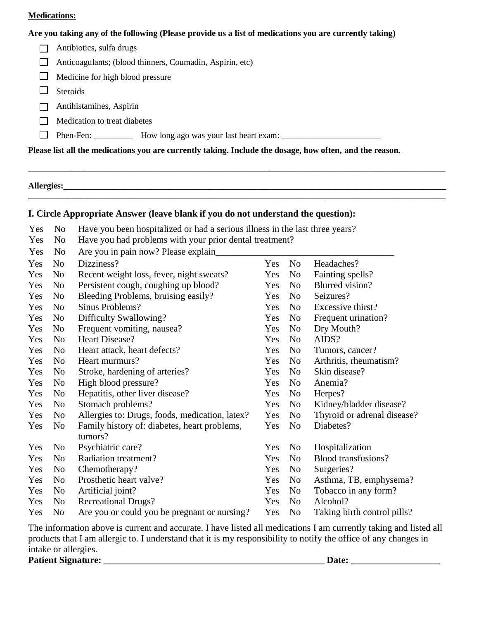#### **Medications:**

#### **Are you taking any of the following (Please provide us a list of medications you are currently taking)**

| Antibiotics, sulfa drugs                                                                                 |
|----------------------------------------------------------------------------------------------------------|
| Anticoagulants; (blood thinners, Coumadin, Aspirin, etc)                                                 |
| Medicine for high blood pressure                                                                         |
| <b>Steroids</b>                                                                                          |
| Antihistamines, Aspirin                                                                                  |
| Medication to treat diabetes                                                                             |
| Phen-Fen: _____________ How long ago was your last heart exam:                                           |
| Please list all the medications you are currently taking. Include the dosage, how often, and the reason. |

**Allergies:\_\_\_\_\_\_\_\_\_\_\_\_\_\_\_\_\_\_\_\_\_\_\_\_\_\_\_\_\_\_\_\_\_\_\_\_\_\_\_\_\_\_\_\_\_\_\_\_\_\_\_\_\_\_\_\_\_\_\_\_\_\_\_\_\_\_\_\_\_\_\_\_\_\_\_\_\_\_\_\_\_\_\_\_\_\_\_\_\_**

### **I. Circle Appropriate Answer (leave blank if you do not understand the question):**

| Yes | N <sub>0</sub> | Have you been hospitalized or had a serious illness in the last three years? |     |                |                             |  |  |
|-----|----------------|------------------------------------------------------------------------------|-----|----------------|-----------------------------|--|--|
| Yes | No             | Have you had problems with your prior dental treatment?                      |     |                |                             |  |  |
| Yes | N <sub>0</sub> | Are you in pain now? Please explain                                          |     |                |                             |  |  |
| Yes | N <sub>o</sub> | Dizziness?                                                                   | Yes | N <sub>0</sub> | Headaches?                  |  |  |
| Yes | N <sub>0</sub> | Recent weight loss, fever, night sweats?                                     | Yes | N <sub>o</sub> | Fainting spells?            |  |  |
| Yes | N <sub>o</sub> | Persistent cough, coughing up blood?                                         | Yes | N <sub>o</sub> | Blurred vision?             |  |  |
| Yes | N <sub>0</sub> | Bleeding Problems, bruising easily?                                          | Yes | N <sub>0</sub> | Seizures?                   |  |  |
| Yes | N <sub>0</sub> | Sinus Problems?                                                              | Yes | N <sub>o</sub> | Excessive thirst?           |  |  |
| Yes | No             | Difficulty Swallowing?                                                       | Yes | No             | Frequent urination?         |  |  |
| Yes | No             | Frequent vomiting, nausea?                                                   | Yes | No             | Dry Mouth?                  |  |  |
| Yes | N <sub>o</sub> | Heart Disease?                                                               | Yes | N <sub>0</sub> | AIDS?                       |  |  |
| Yes | No             | Heart attack, heart defects?                                                 | Yes | No             | Tumors, cancer?             |  |  |
| Yes | N <sub>o</sub> | Heart murmurs?                                                               | Yes | N <sub>o</sub> | Arthritis, rheumatism?      |  |  |
| Yes | N <sub>0</sub> | Stroke, hardening of arteries?                                               | Yes | N <sub>0</sub> | Skin disease?               |  |  |
| Yes | No             | High blood pressure?                                                         | Yes | N <sub>o</sub> | Anemia?                     |  |  |
| Yes | No             | Hepatitis, other liver disease?                                              | Yes | N <sub>0</sub> | Herpes?                     |  |  |
| Yes | N <sub>o</sub> | Stomach problems?                                                            | Yes | N <sub>0</sub> | Kidney/bladder disease?     |  |  |
| Yes | N <sub>o</sub> | Allergies to: Drugs, foods, medication, latex?                               | Yes | N <sub>0</sub> | Thyroid or adrenal disease? |  |  |
| Yes | No             | Family history of: diabetes, heart problems,<br>tumors?                      | Yes | N <sub>0</sub> | Diabetes?                   |  |  |
| Yes | No             | Psychiatric care?                                                            | Yes | No             | Hospitalization             |  |  |
| Yes | N <sub>o</sub> | Radiation treatment?                                                         | Yes | N <sub>0</sub> | Blood transfusions?         |  |  |
| Yes | N <sub>o</sub> | Chemotherapy?                                                                | Yes | No             | Surgeries?                  |  |  |
| Yes | N <sub>o</sub> | Prosthetic heart valve?                                                      | Yes | No             | Asthma, TB, emphysema?      |  |  |
| Yes | No             | Artificial joint?                                                            | Yes | No             | Tobacco in any form?        |  |  |
| Yes | N <sub>o</sub> | <b>Recreational Drugs?</b>                                                   | Yes | N <sub>0</sub> | Alcohol?                    |  |  |
| Yes | No             | Are you or could you be pregnant or nursing?                                 | Yes | N <sub>0</sub> | Taking birth control pills? |  |  |

The information above is current and accurate. I have listed all medications I am currently taking and listed all products that I am allergic to. I understand that it is my responsibility to notify the office of any changes in intake or allergies.

**Patient Signature: \_\_\_\_\_\_\_\_\_\_\_\_\_\_\_\_\_\_\_\_\_\_\_\_\_\_\_\_\_\_\_\_\_\_\_\_\_\_\_\_\_\_\_\_\_\_\_ Date: \_\_\_\_\_\_\_\_\_\_\_\_\_\_\_\_\_\_\_**